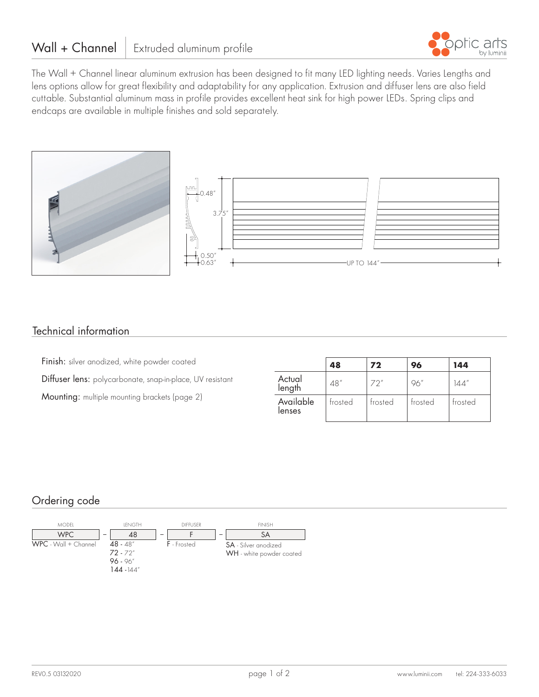

The Wall + Channel linear aluminum extrusion has been designed to fit many LED lighting needs. Varies Lengths and lens options allow for great flexibility and adaptability for any application. Extrusion and diffuser lens are also field cuttable. Substantial aluminum mass in profile provides excellent heat sink for high power LEDs. Spring clips and endcaps are available in multiple finishes and sold separately.



## Technical information

Finish: silver anodized, white powder coated Diffuser lens: polycarbonate, snap-in-place, UV resistant Mounting: multiple mounting brackets (page 2)

|                     | 48      | 72      | 96      | 144     |
|---------------------|---------|---------|---------|---------|
| Actual<br>length    | 48"     | 72"     | 96"     | 144″    |
| Available<br>lenses | frosted | trosted | trosted | trosted |

# Ordering code